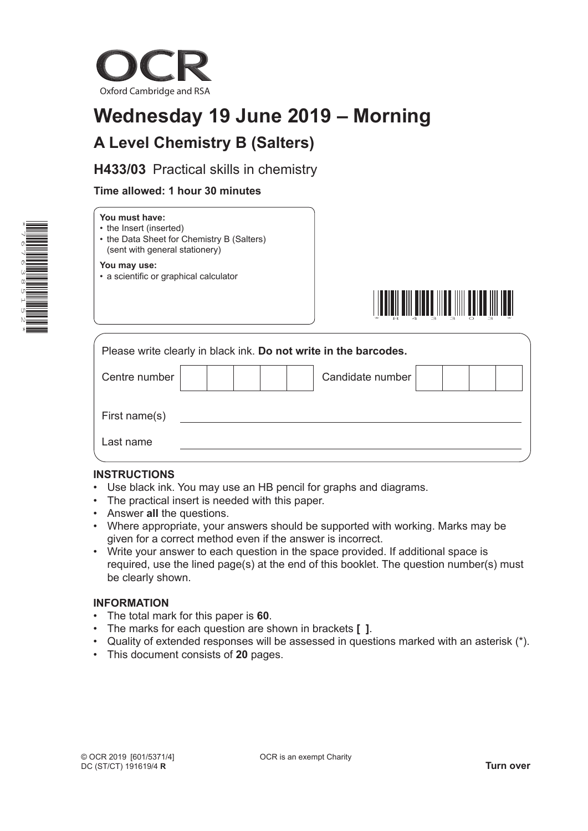

# **Wednesday 19 June 2019 – Morning A Level Chemistry B (Salters)**

**H433/03** Practical skills in chemistry

## **Time allowed: 1 hour 30 minutes**

| ý                   |
|---------------------|
| Ξ<br>4              |
| C                   |
|                     |
| σ<br>–              |
| ω                   |
| $\infty$            |
| Ξ<br>$\overline{r}$ |
|                     |
| Ū                   |
| N                   |
| ×                   |

## **You must have:**

- the Insert (inserted)
- the Data Sheet for Chemistry B (Salters) (sent with general stationery)

#### **You may use:**

• a scientific or graphical calculator



|               |  | Please write clearly in black ink. Do not write in the barcodes. |  |  |
|---------------|--|------------------------------------------------------------------|--|--|
| Centre number |  | Candidate number                                                 |  |  |
| First name(s) |  |                                                                  |  |  |
| Last name     |  |                                                                  |  |  |

## **INSTRUCTIONS**

- Use black ink. You may use an HB pencil for graphs and diagrams.
- The practical insert is needed with this paper.
- Answer **all** the questions.
- Where appropriate, your answers should be supported with working. Marks may be given for a correct method even if the answer is incorrect.
- Write your answer to each question in the space provided. If additional space is required, use the lined page(s) at the end of this booklet. The question number(s) must be clearly shown.

## **INFORMATION**

- The total mark for this paper is **60**.
- The marks for each question are shown in brackets **[ ]**.
- Quality of extended responses will be assessed in questions marked with an asterisk (\*).
- This document consists of **20** pages.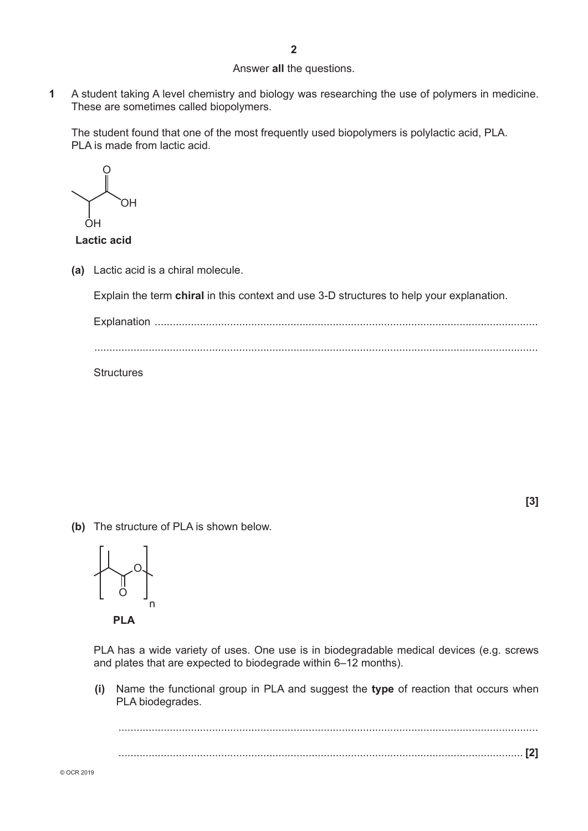#### Answer **all** the questions.

**1** A student taking A level chemistry and biology was researching the use of polymers in medicine. These are sometimes called biopolymers.

The student found that one of the most frequently used biopolymers is polylactic acid, PLA. PLA is made from lactic acid.

O OH OH

**Lactic acid**

**(a)** Lactic acid is a chiral molecule.

Explain the term **chiral** in this context and use 3-D structures to help your explanation.

Explanation ............................................................................................................................... ...................................................................................................................................................

**Structures** 

 **[3]**

**(b)** The structure of PLA is shown below.

O O n

 **PLA**

PLA has a wide variety of uses. One use is in biodegradable medical devices (e.g. screws and plates that are expected to biodegrade within 6–12 months).

 **(i)** Name the functional group in PLA and suggest the **type** of reaction that occurs when PLA biodegrades.

........................................................................................................................................... ...................................................................................................................................... **[2]**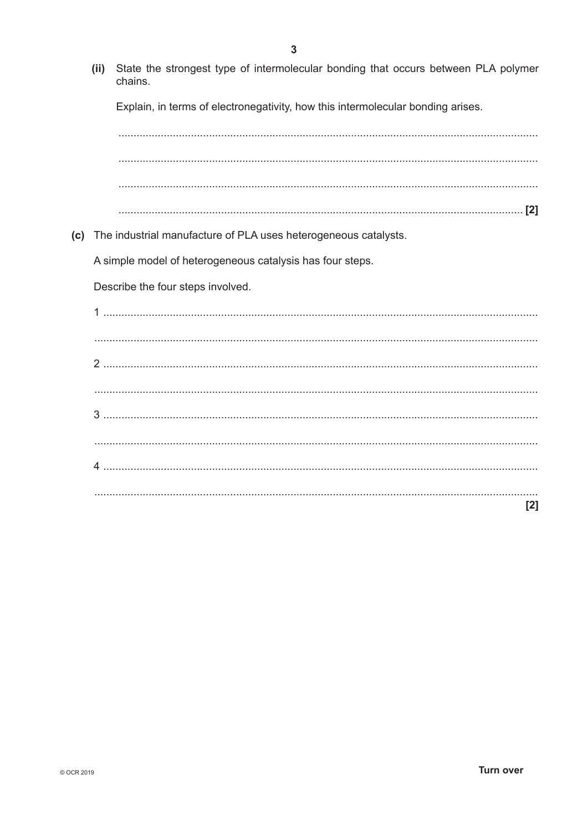State the strongest type of intermolecular bonding that occurs between PLA polymer  $(ii)$ chains. Explain, in terms of electronegativity, how this intermolecular bonding arises. (c) The industrial manufacture of PLA uses heterogeneous catalysts. A simple model of heterogeneous catalysis has four steps. Describe the four steps involved. 

 $[2]$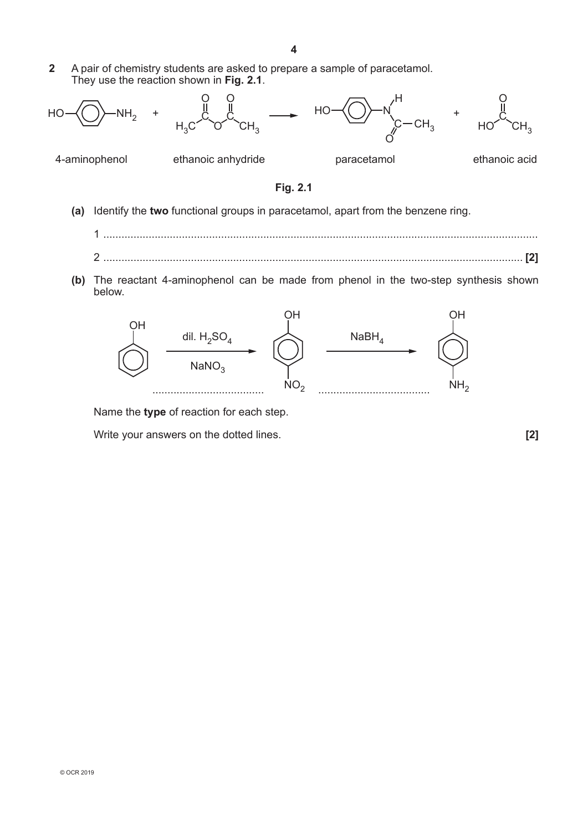**2** A pair of chemistry students are asked to prepare a sample of paracetamol. They use the reaction shown in **Fig. 2.1**.



4-aminophenol ethanoic anhydride paracetamol ethanoic acid



- **(a)** Identify the **two** functional groups in paracetamol, apart from the benzene ring.
	- 1 ................................................................................................................................................ 2 ........................................................................................................................................... **[2]**
- **(b)** The reactant 4-aminophenol can be made from phenol in the two-step synthesis shown below.



Name the **type** of reaction for each step.

Write your answers on the dotted lines. **[2]**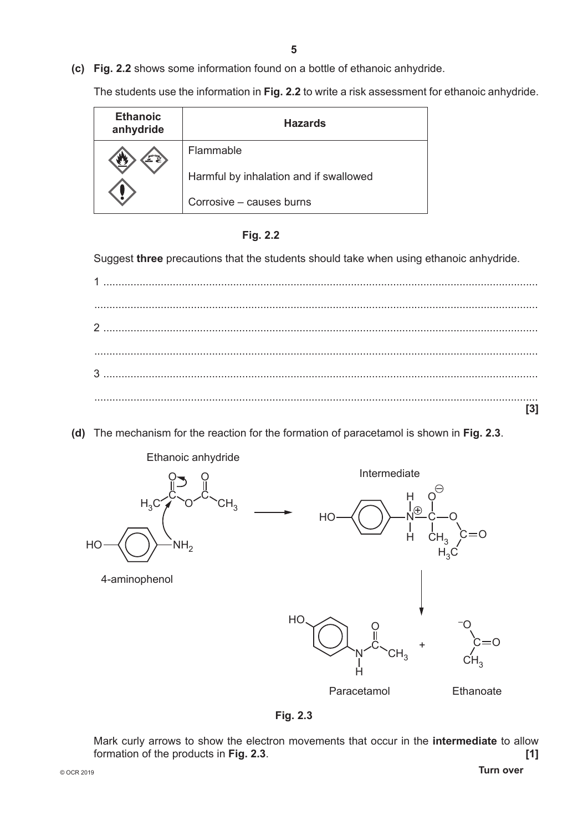**(c) Fig. 2.2** shows some information found on a bottle of ethanoic anhydride.

The students use the information in **Fig. 2.2** to write a risk assessment for ethanoic anhydride.

| <b>Ethanoic</b><br>anhydride | <b>Hazards</b>                         |
|------------------------------|----------------------------------------|
|                              | Flammable                              |
|                              | Harmful by inhalation and if swallowed |
|                              | Corrosive - causes burns               |



Suggest **three** precautions that the students should take when using ethanoic anhydride.

**(d)** The mechanism for the reaction for the formation of paracetamol is shown in **Fig. 2.3**.



**Fig. 2.3**

Mark curly arrows to show the electron movements that occur in the **intermediate** to allow formation of the products in **Fig. 2.3**. **[1]**

© OCR 2019 **Turn over**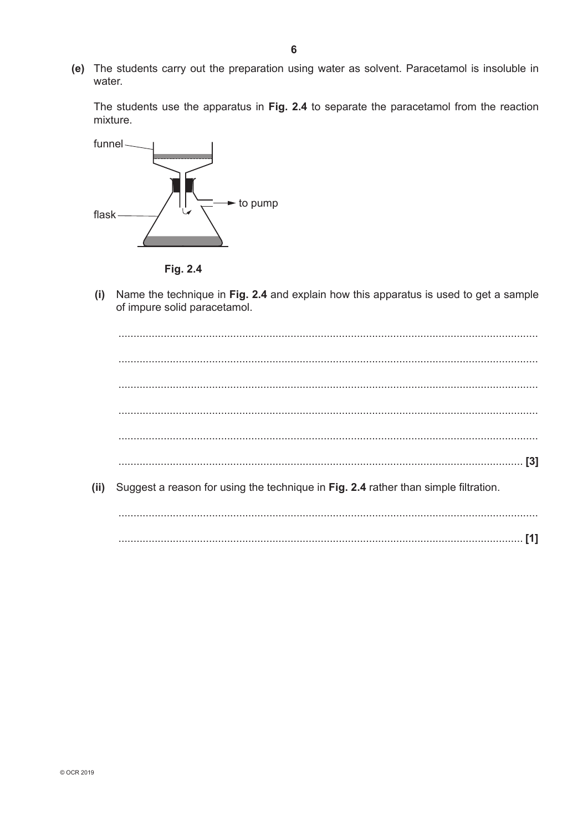(e) The students carry out the preparation using water as solvent. Paracetamol is insoluble in water.

The students use the apparatus in Fig. 2.4 to separate the paracetamol from the reaction mixture.



Fig. 2.4

Name the technique in Fig. 2.4 and explain how this apparatus is used to get a sample  $(i)$ of impure solid paracetamol.

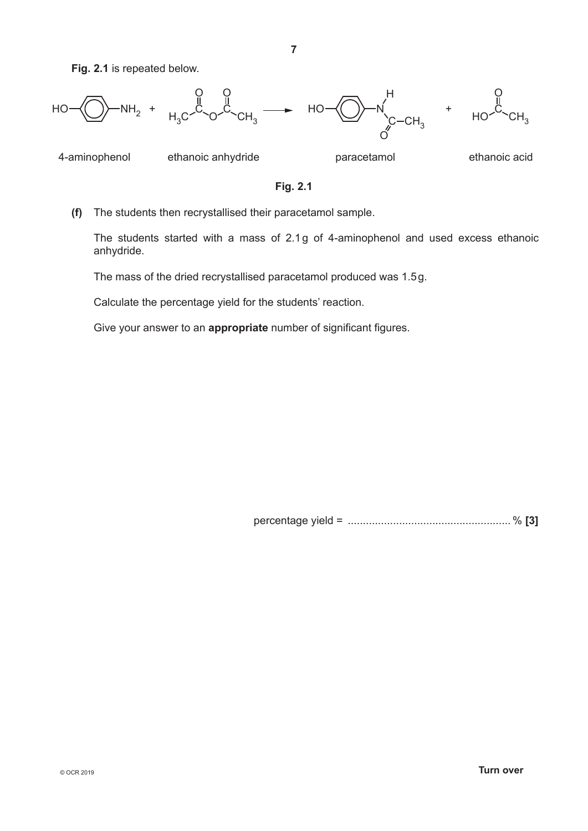**Fig. 2.1** is repeated below.



4-aminophenol ethanoic anhydride paracetamol ethanoic acid

**Fig. 2.1**

**(f)** The students then recrystallised their paracetamol sample.

The students started with a mass of 2.1g of 4-aminophenol and used excess ethanoic anhydride.

The mass of the dried recrystallised paracetamol produced was 1.5g.

Calculate the percentage yield for the students' reaction.

Give your answer to an **appropriate** number of significant figures.

percentage yield = ...................................................... % **[3]**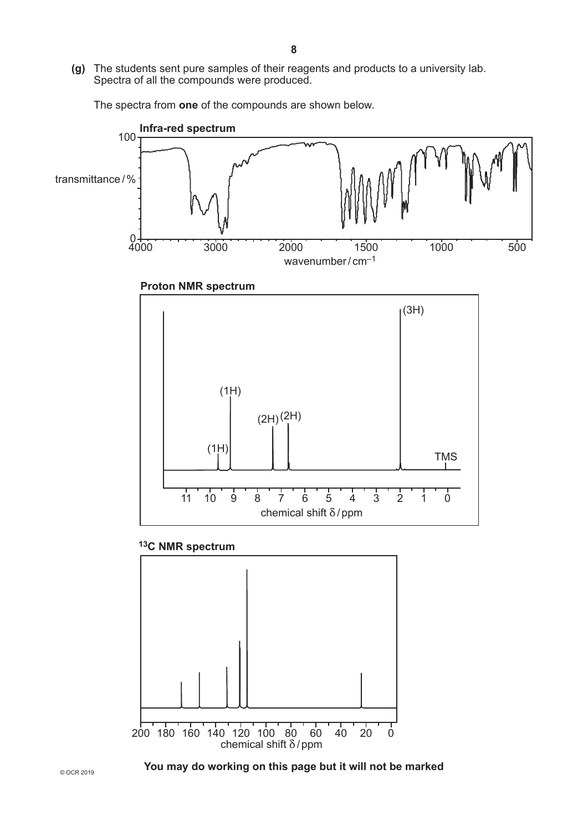**(g)** The students sent pure samples of their reagents and products to a university lab. Spectra of all the compounds were produced.

The spectra from **one** of the compounds are shown below.



## **13C NMR spectrum**

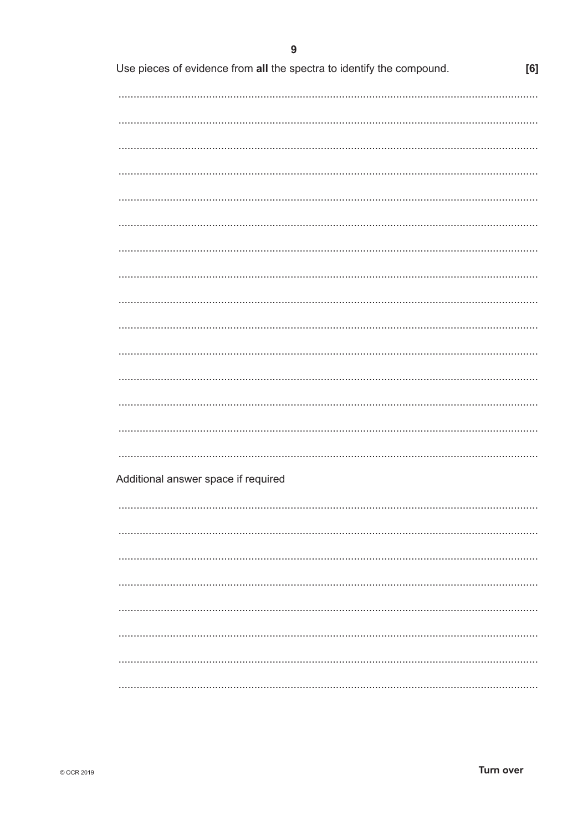| Use pieces of evidence from all the spectra to identify the compound. | [6] |
|-----------------------------------------------------------------------|-----|
|                                                                       |     |
|                                                                       |     |
|                                                                       |     |
|                                                                       |     |
|                                                                       |     |
|                                                                       |     |
|                                                                       |     |
|                                                                       |     |
|                                                                       |     |
|                                                                       |     |
|                                                                       |     |
|                                                                       |     |
|                                                                       |     |
|                                                                       |     |
|                                                                       |     |
|                                                                       |     |
|                                                                       |     |
|                                                                       |     |
|                                                                       |     |
|                                                                       |     |
|                                                                       |     |
|                                                                       |     |
| Additional answer space if required                                   |     |
|                                                                       |     |
|                                                                       |     |
|                                                                       |     |
|                                                                       |     |
|                                                                       |     |
|                                                                       |     |
|                                                                       |     |
|                                                                       |     |
|                                                                       |     |
|                                                                       |     |
|                                                                       |     |
|                                                                       |     |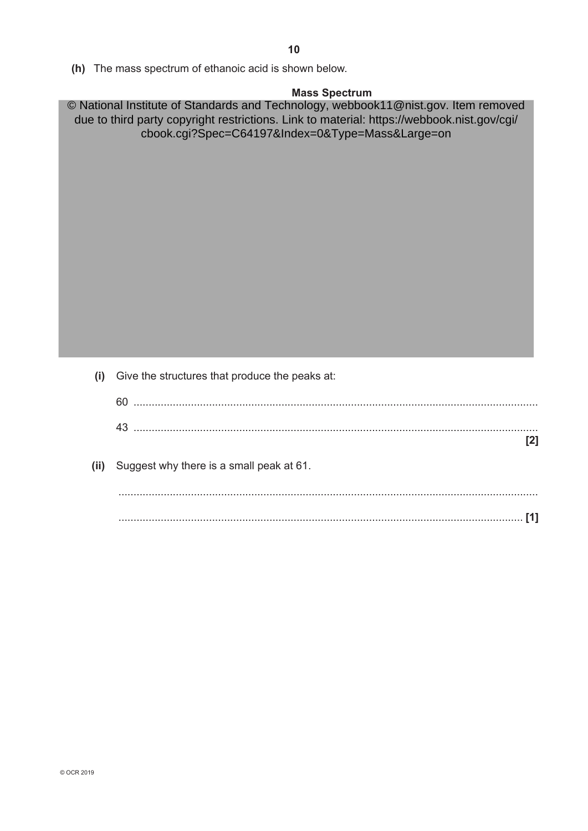**(h)** The mass spectrum of ethanoic acid is shown below.

### **Mass Spectrum**

© National Institute of Standards and Technology, webbook11@nist.gov. Item removed due to third party copyright restrictions. Link to material: https://webbook.nist.gov/cgi/ cbook.cgi?Spec=C64197&Index=0&Type=Mass&Large=on

 **(i)** Give the structures that produce the peaks at:

| (ii) Suggest why there is a small peak at 61. |  |
|-----------------------------------------------|--|
|                                               |  |
|                                               |  |
|                                               |  |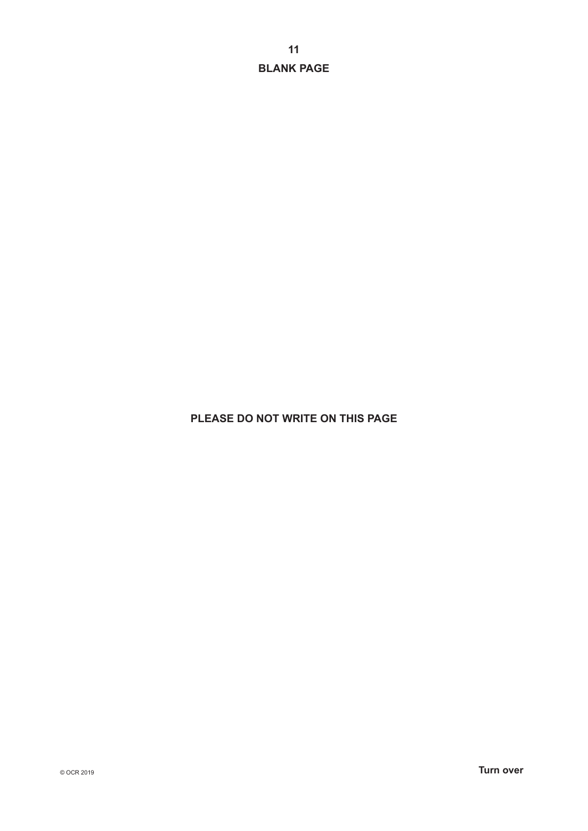**BLANK PAGE**

## **PLEASE DO NOT WRITE ON THIS PAGE**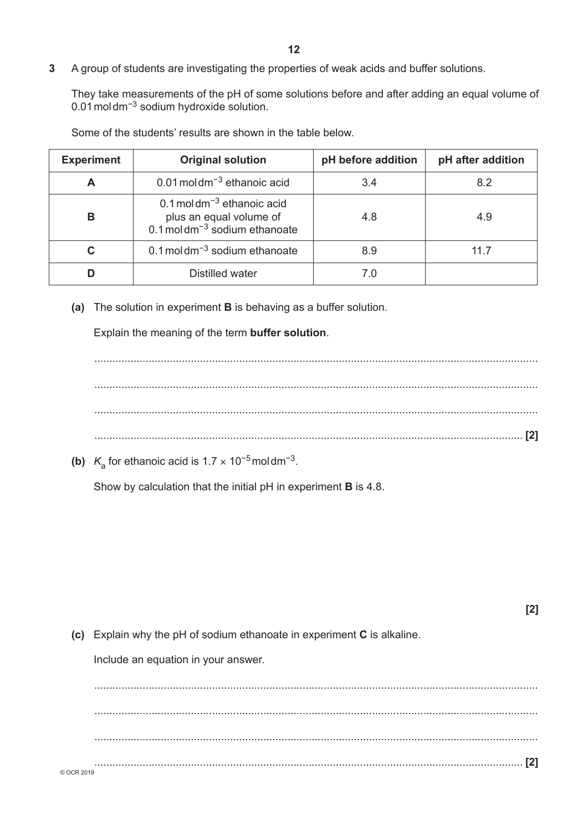**3** A group of students are investigating the properties of weak acids and buffer solutions.

They take measurements of the pH of some solutions before and after adding an equal volume of 0.01moldm−3 sodium hydroxide solution.

| <b>Experiment</b> | <b>Original solution</b>                                                                                            | pH before addition | pH after addition |
|-------------------|---------------------------------------------------------------------------------------------------------------------|--------------------|-------------------|
| A                 | $0.01$ moldm <sup><math>-3</math></sup> ethanoic acid                                                               | 3.4                | 8.2               |
| в                 | 0.1 moldm <sup><math>-3</math></sup> ethanoic acid<br>plus an equal volume of<br>0.1 moldm $^{-3}$ sodium ethanoate | 4.8                | 4.9               |
| C                 | 0.1 moldm $^{-3}$ sodium ethanoate                                                                                  | 8.9                | 11.7              |
| D                 | Distilled water                                                                                                     | 70                 |                   |

Some of the students' results are shown in the table below.

**(a)** The solution in experiment **B** is behaving as a buffer solution.

Explain the meaning of the term **buffer solution**.

................................................................................................................................................... ................................................................................................................................................... ................................................................................................................................................... .............................................................................................................................................. **[2]**

**(b)**  $K_a$  for ethanoic acid is 1.7 × 10<sup>-5</sup> moldm<sup>-3</sup>.

Show by calculation that the initial pH in experiment **B** is 4.8.

|            |                                                                         | [2] |
|------------|-------------------------------------------------------------------------|-----|
|            | (c) Explain why the pH of sodium ethanoate in experiment C is alkaline. |     |
|            | Include an equation in your answer.                                     |     |
|            |                                                                         |     |
|            |                                                                         |     |
|            |                                                                         |     |
| © OCR 2019 |                                                                         |     |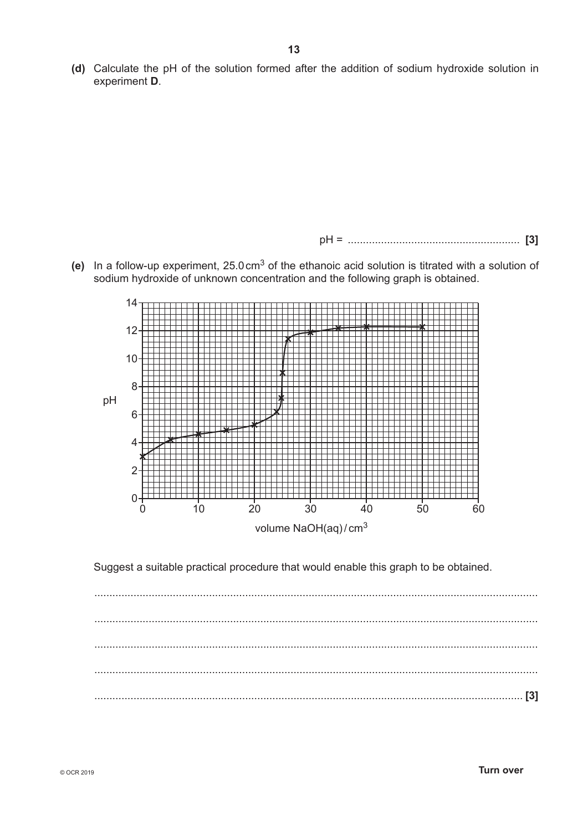**(d)** Calculate the pH of the solution formed after the addition of sodium hydroxide solution in experiment **D**.

pH = ......................................................... **[3]**

**(e)** In a follow-up experiment, 25.0cm3 of the ethanoic acid solution is titrated with a solution of sodium hydroxide of unknown concentration and the following graph is obtained.



Suggest a suitable practical procedure that would enable this graph to be obtained.

................................................................................................................................................... ................................................................................................................................................... ................................................................................................................................................... ................................................................................................................................................... .............................................................................................................................................. **[3]**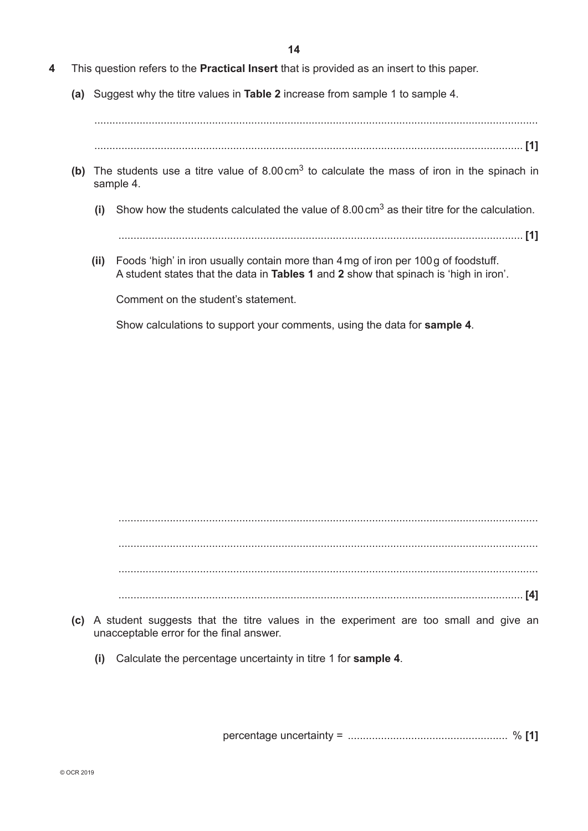- **4** This question refers to the **Practical Insert** that is provided as an insert to this paper.
	- **(a)** Suggest why the titre values in **Table 2** increase from sample 1 to sample 4.

.............................................................................................................................................. **[1]**

- **(b)** The students use a titre value of 8.00cm3 to calculate the mass of iron in the spinach in sample 4.
	- **(i)** Show how the students calculated the value of 8.00cm3 as their titre for the calculation.

...................................................................................................................................... **[1]**

 **(ii)** Foods 'high' in iron usually contain more than 4mg of iron per 100g of foodstuff. A student states that the data in **Tables 1** and **2** show that spinach is 'high in iron'.

Comment on the student's statement.

Show calculations to support your comments, using the data for **sample 4**.

 ........................................................................................................................................... ........................................................................................................................................... ........................................................................................................................................... ...................................................................................................................................... **[4]**

- **(c)** A student suggests that the titre values in the experiment are too small and give an unacceptable error for the final answer.
	- **(i)** Calculate the percentage uncertainty in titre 1 for **sample 4**.

percentage uncertainty = ..................................................... % **[1]**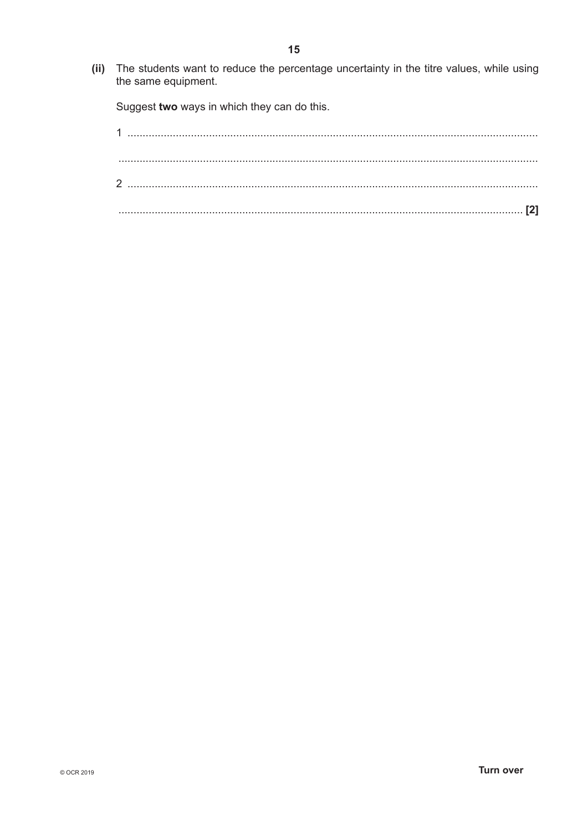(ii) The students want to reduce the percentage uncertainty in the titre values, while using the same equipment.

Suggest two ways in which they can do this.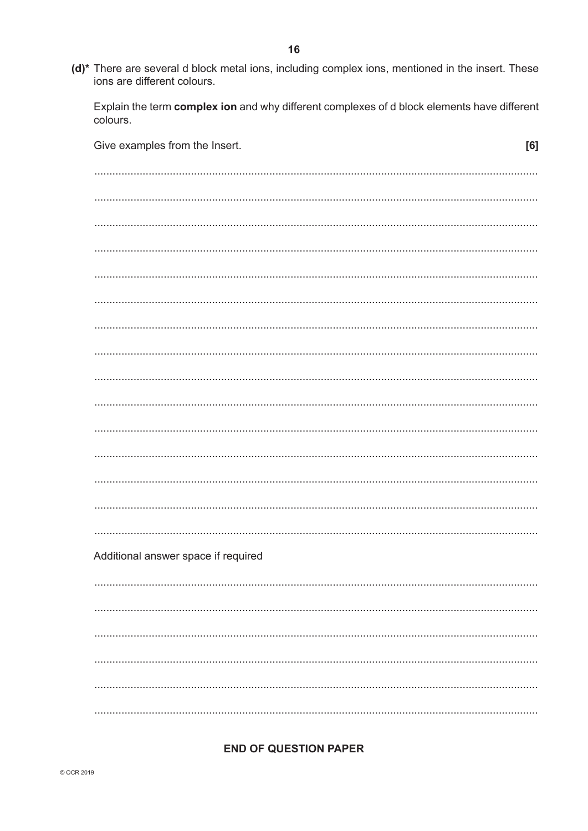(d)\* There are several d block metal ions, including complex ions, mentioned in the insert. These ions are different colours.

Explain the term complex ion and why different complexes of d block elements have different colours.

| Give examples from the Insert.      | [6] |
|-------------------------------------|-----|
|                                     |     |
|                                     |     |
|                                     |     |
|                                     |     |
|                                     |     |
|                                     |     |
|                                     |     |
|                                     |     |
|                                     |     |
|                                     |     |
|                                     |     |
|                                     |     |
|                                     |     |
|                                     |     |
|                                     |     |
|                                     |     |
| Additional answer space if required |     |
|                                     |     |
|                                     |     |
|                                     |     |
|                                     |     |
|                                     |     |
|                                     |     |
|                                     |     |

#### **END OF QUESTION PAPER**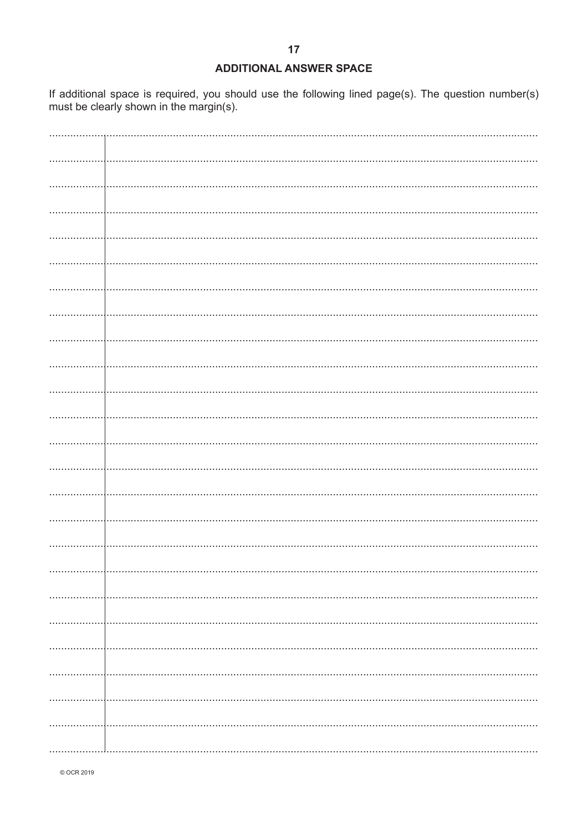## **ADDITIONAL ANSWER SPACE**

If additional space is required, you should use the following lined page(s). The question number(s) must be clearly shown in the margin(s).

© OCR 2019